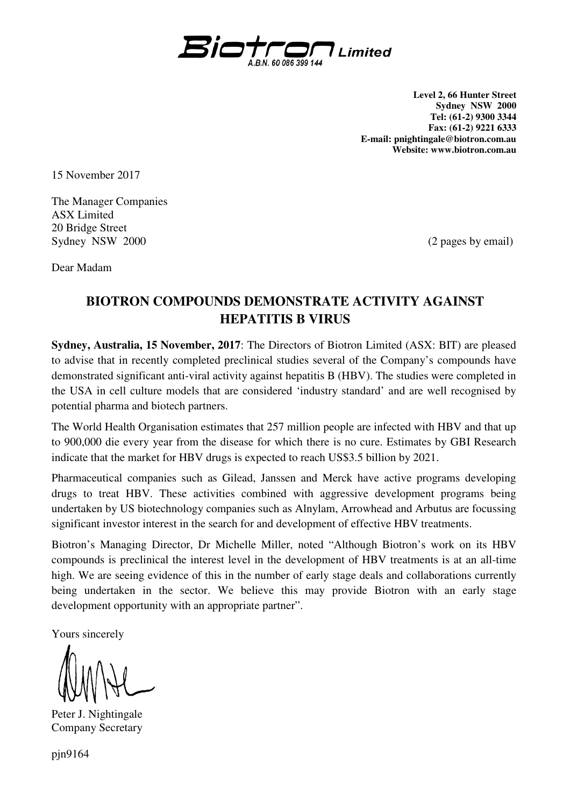

**Level 2, 66 Hunter Street Sydney NSW 2000 Tel: (61-2) 9300 3344 Fax: (61-2) 9221 6333 E-mail: pnightingale@biotron.com.au Website: www.biotron.com.au** 

15 November 2017

The Manager Companies ASX Limited 20 Bridge Street Sydney NSW 2000 (2 pages by email)

Dear Madam

## **BIOTRON COMPOUNDS DEMONSTRATE ACTIVITY AGAINST HEPATITIS B VIRUS**

**Sydney, Australia, 15 November, 2017**: The Directors of Biotron Limited (ASX: BIT) are pleased to advise that in recently completed preclinical studies several of the Company's compounds have demonstrated significant anti-viral activity against hepatitis B (HBV). The studies were completed in the USA in cell culture models that are considered 'industry standard' and are well recognised by potential pharma and biotech partners.

The World Health Organisation estimates that 257 million people are infected with HBV and that up to 900,000 die every year from the disease for which there is no cure. Estimates by GBI Research indicate that the market for HBV drugs is expected to reach US\$3.5 billion by 2021.

Pharmaceutical companies such as Gilead, Janssen and Merck have active programs developing drugs to treat HBV. These activities combined with aggressive development programs being undertaken by US biotechnology companies such as Alnylam, Arrowhead and Arbutus are focussing significant investor interest in the search for and development of effective HBV treatments.

Biotron's Managing Director, Dr Michelle Miller, noted "Although Biotron's work on its HBV compounds is preclinical the interest level in the development of HBV treatments is at an all-time high. We are seeing evidence of this in the number of early stage deals and collaborations currently being undertaken in the sector. We believe this may provide Biotron with an early stage development opportunity with an appropriate partner".

Yours sincerely

Peter J. Nightingale Company Secretary

pjn9164